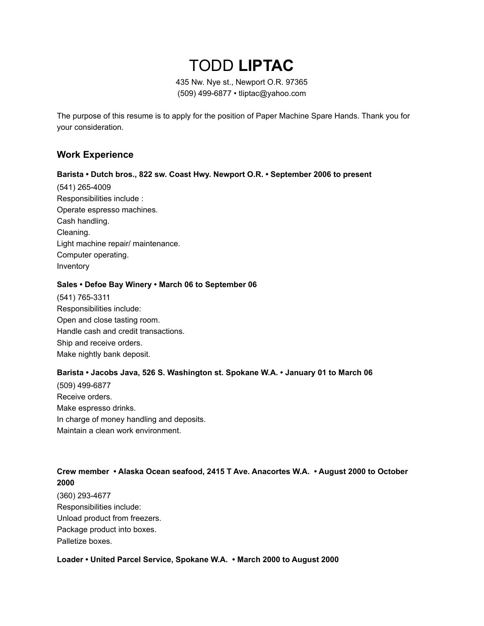# TODD **LIPTAC**

435 Nw. Nye st., Newport O.R. 97365 (509) 499-6877 • tliptac@yahoo.com

The purpose of this resume is to apply for the position of Paper Machine Spare Hands. Thank you for your consideration.

### **Work Experience**

#### **Barista • Dutch bros., 822 sw. Coast Hwy. Newport O.R. • September 2006 to present**

(541) 265-4009 Responsibilities include : Operate espresso machines. Cash handling. Cleaning. Light machine repair/ maintenance. Computer operating. Inventory

#### **Sales • Defoe Bay Winery • March 06 to September 06**

(541) 765-3311 Responsibilities include: Open and close tasting room. Handle cash and credit transactions. Ship and receive orders. Make nightly bank deposit.

#### **Barista • Jacobs Java, 526 S. Washington st. Spokane W.A. • January 01 to March 06**

(509) 499-6877 Receive orders. Make espresso drinks. In charge of money handling and deposits. Maintain a clean work environment.

# **Crew member • Alaska Ocean seafood, 2415 T Ave. Anacortes W.A. • August 2000 to October 2000**

(360) 293-4677 Responsibilities include: Unload product from freezers. Package product into boxes. Palletize boxes.

**Loader • United Parcel Service, Spokane W.A. • March 2000 to August 2000**